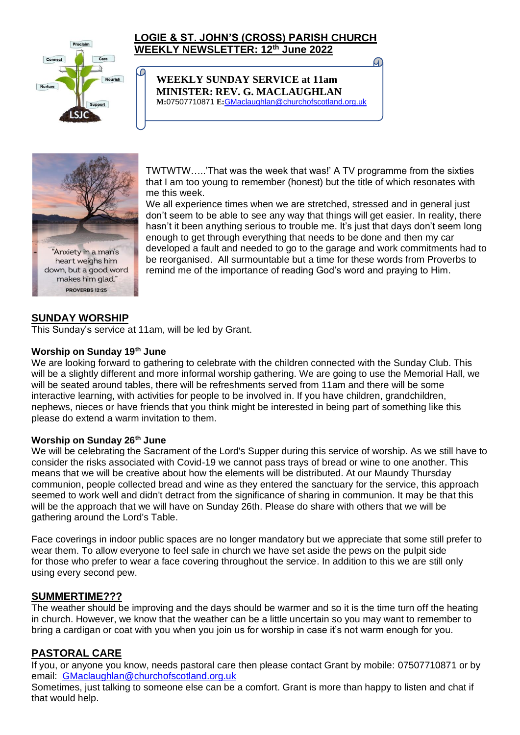

# **LOGIE & ST. JOHN'S (CROSS) PARISH CHURCH WEEKLY NEWSLETTER: 12th June 2022**

G.

**WEEKLY SUNDAY SERVICE at 11am MINISTER: REV. G. MACLAUGHLAN M:**07507710871 **E:**[GMaclaughlan@churchofscotland.org.uk](mailto:GMaclaughlan@churchofscotland.org.uk)



TWTWTW…..'That was the week that was!' A TV programme from the sixties that I am too young to remember (honest) but the title of which resonates with me this week.

We all experience times when we are stretched, stressed and in general just don't seem to be able to see any way that things will get easier. In reality, there hasn't it been anything serious to trouble me. It's just that days don't seem long enough to get through everything that needs to be done and then my car developed a fault and needed to go to the garage and work commitments had to be reorganised. All surmountable but a time for these words from Proverbs to remind me of the importance of reading God's word and praying to Him.

# **SUNDAY WORSHIP**

This Sunday's service at 11am, will be led by Grant.

ſО

#### **Worship on Sunday 19th June**

We are looking forward to gathering to celebrate with the children connected with the Sunday Club. This will be a slightly different and more informal worship gathering. We are going to use the Memorial Hall, we will be seated around tables, there will be refreshments served from 11am and there will be some interactive learning, with activities for people to be involved in. If you have children, grandchildren, nephews, nieces or have friends that you think might be interested in being part of something like this please do extend a warm invitation to them.

#### **Worship on Sunday 26th June**

We will be celebrating the Sacrament of the Lord's Supper during this service of worship. As we still have to consider the risks associated with Covid-19 we cannot pass trays of bread or wine to one another. This means that we will be creative about how the elements will be distributed. At our Maundy Thursday communion, people collected bread and wine as they entered the sanctuary for the service, this approach seemed to work well and didn't detract from the significance of sharing in communion. It may be that this will be the approach that we will have on Sunday 26th. Please do share with others that we will be gathering around the Lord's Table.

Face coverings in indoor public spaces are no longer mandatory but we appreciate that some still prefer to wear them. To allow everyone to feel safe in church we have set aside the pews on the pulpit side for those who prefer to wear a face covering throughout the service. In addition to this we are still only using every second pew.

#### **SUMMERTIME???**

The weather should be improving and the days should be warmer and so it is the time turn off the heating in church. However, we know that the weather can be a little uncertain so you may want to remember to bring a cardigan or coat with you when you join us for worship in case it's not warm enough for you.

## **PASTORAL CARE**

If you, or anyone you know, needs pastoral care then please contact Grant by mobile: 07507710871 or by email: [GMaclaughlan@churchofscotland.org.uk](mailto:GMaclaughlan@churchofscotland.org.uk)

Sometimes, just talking to someone else can be a comfort. Grant is more than happy to listen and chat if that would help.